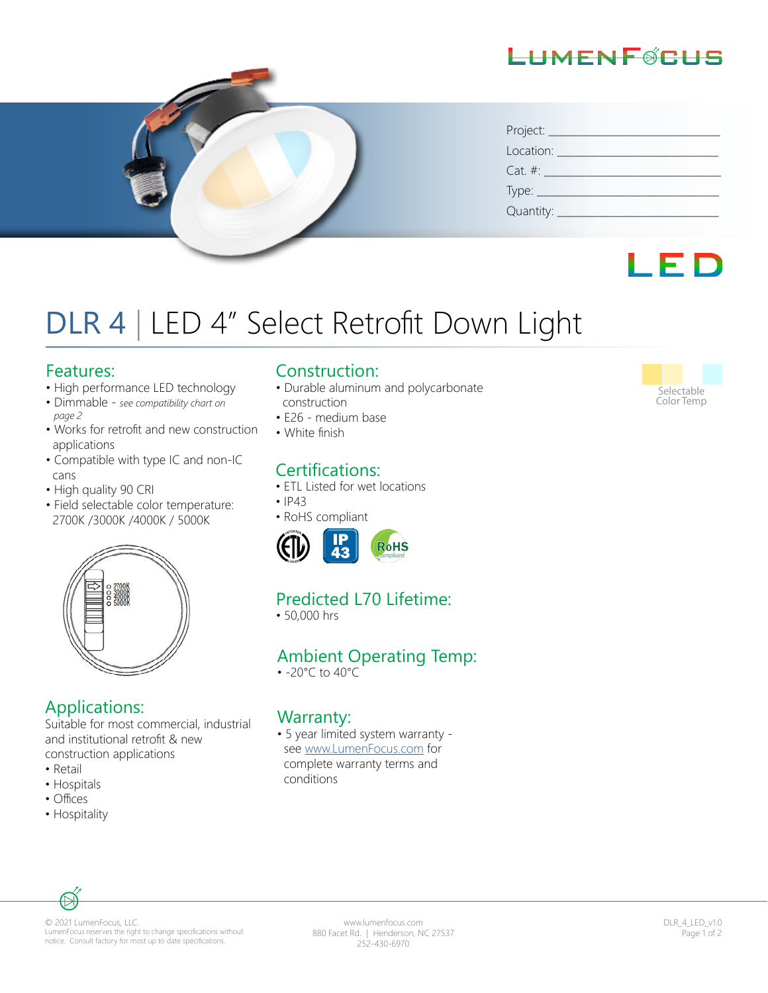## LIMENFØRLIS



| Project: _____   |
|------------------|
| Location:        |
| $Cat. \#:$       |
|                  |
| Quantity: $\Box$ |

## LED

# DLR 4 | LED 4" Select Retrofit Down Light

#### Features:

- High performance LED technology
- Dimmable *see compatibility chart on page 2*
- Works for retrofit and new construction applications
- Compatible with type IC and non-IC cans
- High quality 90 CRI
- Field selectable color temperature: 2700K /3000K /4000K / 5000K



### Applications:

Suitable for most commercial, industrial and institutional retrofit & new construction applications

- Retail
- Hospitals
- Offices
- Hospitality

#### Construction:

- Durable aluminum and polycarbonate construction
- E26 medium base
- White finish

## Certifications:

- ETL Listed for wet locations
- IP43
- RoHS compliant



## Predicted L70 Lifetime:

• 50,000 hrs

### Ambient Operating Temp:

• -20°C to 40°C

#### Warranty:

• 5 year limited system warranty see www.LumenFocus.com for complete warranty terms and conditions



© 2021 LumenFocus, LLC. LumenFocus reserves the right to change specifications without notice. Consult factory for most up to date specifications.

www.lumenfocus.com 880 Facet Rd. | Henderson, NC 27537 252-430-6970

DLR\_4\_LED\_v1.0 Page 1 of 2